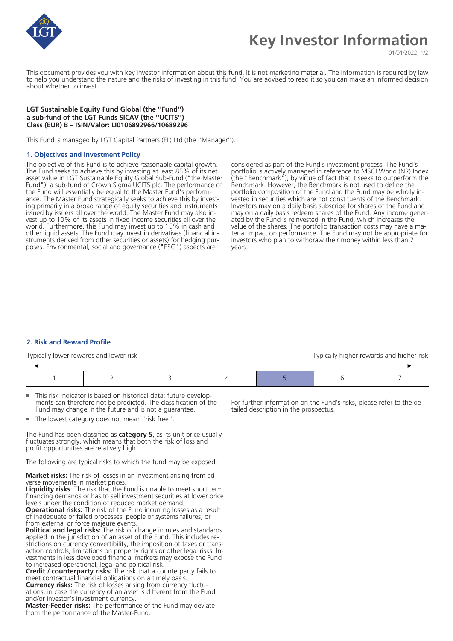

# **Key Investor Information**

01/01/2022, 1/2

This document provides you with key investor information about this fund. It is not marketing material. The information is required by law to help you understand the nature and the risks of investing in this fund. You are advised to read it so you can make an informed decision about whether to invest.

# **LGT Sustainable Equity Fund Global (the ''Fund'') a sub-fund of the LGT Funds SICAV (the ''UCITS'') Class (EUR) B – ISIN/Valor: LI0106892966/10689296**

This Fund is managed by LGT Capital Partners (FL) Ltd (the ''Manager'').

#### **1. Objectives and Investment Policy**

The objective of this Fund is to achieve reasonable capital growth. The Fund seeks to achieve this by investing at least 85% of its net asset value in LGT Sustainable Equity Global Sub-Fund ("the Master Fund"), a sub-fund of Crown Sigma UCITS plc. The performance of the Fund will essentially be equal to the Master Fund's performance. The Master Fund strategically seeks to achieve this by investing primarily in a broad range of equity securities and instruments issued by issuers all over the world. The Master Fund may also invest up to 10% of its assets in fixed income securities all over the world. Furthermore, this Fund may invest up to 15% in cash and other liquid assets. The Fund may invest in derivatives (financial instruments derived from other securities or assets) for hedging purposes. Environmental, social and governance ("ESG") aspects are

considered as part of the Fund's investment process. The Fund's portfolio is actively managed in reference to MSCI World (NR) Index (the "Benchmark"), by virtue of fact that it seeks to outperform the Benchmark. However, the Benchmark is not used to define the portfolio composition of the Fund and the Fund may be wholly invested in securities which are not constituents of the Benchmark. Investors may on a daily basis subscribe for shares of the Fund and may on a daily basis redeem shares of the Fund. Any income generated by the Fund is reinvested in the Fund, which increases the value of the shares. The portfolio transaction costs may have a material impact on performance. The Fund may not be appropriate for investors who plan to withdraw their money within less than 7 years.

#### **2. Risk and Reward Profile**

Typically lower rewards and lower risk Typically higher rewards and higher risk Typically higher rewards and higher risk

- This risk indicator is based on historical data; future developments can therefore not be predicted. The classification of the Fund may change in the future and is not a guarantee.
- The lowest category does not mean "risk free".

The Fund has been classified as **category 5**, as its unit price usually fluctuates strongly, which means that both the risk of loss and profit opportunities are relatively high.

The following are typical risks to which the fund may be exposed:

**Market risks:** The risk of losses in an investment arising from adverse movements in market prices.

**Liquidity risks**: The risk that the Fund is unable to meet short term financing demands or has to sell investment securities at lower price levels under the condition of reduced market demand.

**Operational risks:** The risk of the Fund incurring losses as a result of inadequate or failed processes, people or systems failures, or from external or force majeure events.

**Political and legal risks:** The risk of change in rules and standards applied in the jurisdiction of an asset of the Fund. This includes restrictions on currency convertibility, the imposition of taxes or transaction controls, limitations on property rights or other legal risks. Investments in less developed financial markets may expose the Fund to increased operational, legal and political risk.

**Credit / counterparty risks:** The risk that a counterparty fails to meet contractual financial obligations on a timely basis. **Currency risks:** The risk of losses arising from currency fluctuations, in case the currency of an asset is different from the Fund

and/or investor's investment currency.

**Master-Feeder risks:** The performance of the Fund may deviate from the performance of the Master-Fund.

For further information on the Fund's risks, please refer to the detailed description in the prospectus.